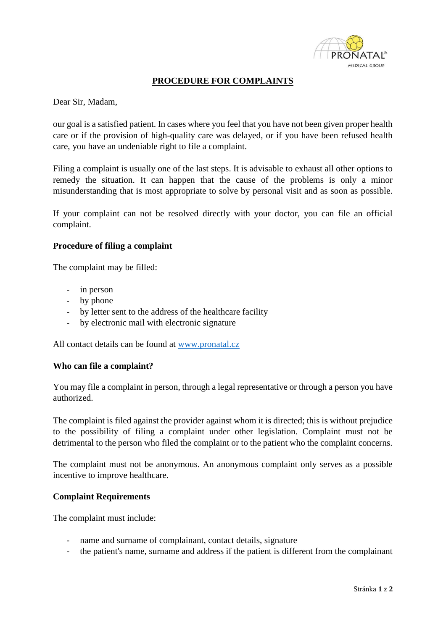

## **PROCEDURE FOR COMPLAINTS**

Dear Sir, Madam,

our goal is a satisfied patient. In cases where you feel that you have not been given proper health care or if the provision of high-quality care was delayed, or if you have been refused health care, you have an undeniable right to file a complaint.

Filing a complaint is usually one of the last steps. It is advisable to exhaust all other options to remedy the situation. It can happen that the cause of the problems is only a minor misunderstanding that is most appropriate to solve by personal visit and as soon as possible.

If your complaint can not be resolved directly with your doctor, you can file an official complaint.

## **Procedure of filing a complaint**

The complaint may be filled:

- in person
- by phone
- by letter sent to the address of the healthcare facility
- by electronic mail with electronic signature

All contact details can be found at [www.pronatal.cz](http://www.pronatal.cz/)

## **Who can file a complaint?**

You may file a complaint in person, through a legal representative or through a person you have authorized.

The complaint is filed against the provider against whom it is directed; this is without prejudice to the possibility of filing a complaint under other legislation. Complaint must not be detrimental to the person who filed the complaint or to the patient who the complaint concerns.

The complaint must not be anonymous. An anonymous complaint only serves as a possible incentive to improve healthcare.

## **Complaint Requirements**

The complaint must include:

- name and surname of complainant, contact details, signature
- the patient's name, surname and address if the patient is different from the complainant